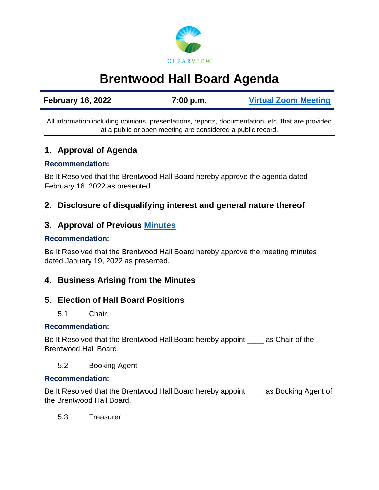

# **Brentwood Hall Board Agenda**

| <b>February 16, 2022</b> | 7:00 p.m. | <b>Virtual Zoom Meeting</b> |
|--------------------------|-----------|-----------------------------|
|                          |           |                             |

All information including opinions, presentations, reports, documentation, etc. that are provided at a public or open meeting are considered a public record.

# **1. Approval of Agenda**

#### **Recommendation:**

Be It Resolved that the Brentwood Hall Board hereby approve the agenda dated February 16, 2022 as presented.

# **2. Disclosure of disqualifying interest and general nature thereof**

# **3. Approval of Previous [Minutes](https://www.clearview.ca/sites/default/files/uploads/publications/2022-01-19-_brentwood_hall_board_minutes_0.pdf)**

#### **Recommendation:**

Be It Resolved that the Brentwood Hall Board hereby approve the meeting minutes dated January 19, 2022 as presented.

# **4. Business Arising from the Minutes**

## **5. Election of Hall Board Positions**

5.1 Chair

#### **Recommendation:**

Be It Resolved that the Brentwood Hall Board hereby appoint \_\_\_\_ as Chair of the Brentwood Hall Board.

5.2 Booking Agent

#### **Recommendation:**

Be It Resolved that the Brentwood Hall Board hereby appoint as Booking Agent of the Brentwood Hall Board.

5.3 Treasurer